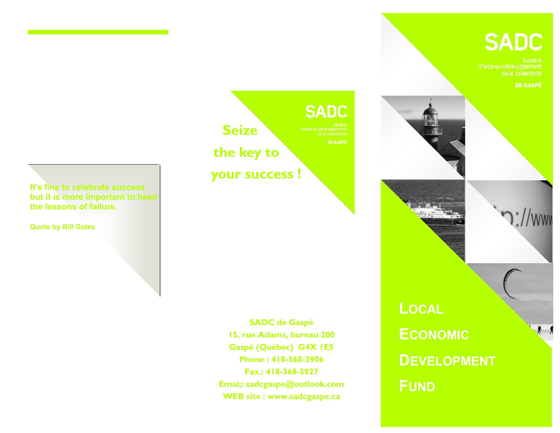# **SADC**

de la collectivité

**DE GASPÉ** 







**SADC de Gaspé 15, rue Adams, bureau 200 Gaspé (Québec) G4X 1E5 Phone : 418-368-2906 Fax.: 418-368-3927 Emai;: sadcgaspe@outlook.com WEB site : www.sadcgaspe.ca** 

**LOCAL ECONOMIC DEVELOPMENT FUND**

**It's fine to celebrate success but it is more important to heed the lessons of failure.**

**Quote by Bill Gates**